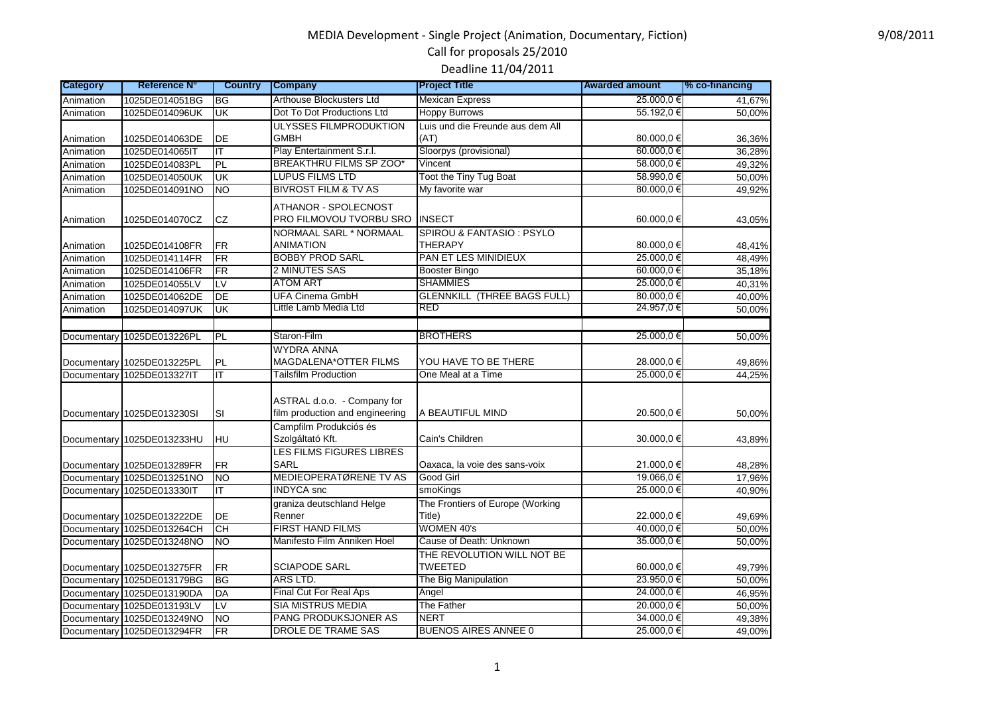#### 9/08/2011

# MEDIA Development - Single Project (Animation, Documentary, Fiction) Call for proposals 25/2010

Deadline 11/04/2011

| <b>Category</b>            | <b>Reference N°</b>              | <b>Country</b>            | <b>Company</b>                                                                           | <b>Project Title</b>                         | <b>Awarded amount</b>   | % co-financing   |
|----------------------------|----------------------------------|---------------------------|------------------------------------------------------------------------------------------|----------------------------------------------|-------------------------|------------------|
| Animation                  | 1025DE014051BG                   | BG                        | Arthouse Blockusters Ltd                                                                 | <b>Mexican Express</b>                       | 25.000.0 €              | 41,67%           |
| Animation                  | 1025DE014096UK                   | UK                        | Dot To Dot Productions Ltd                                                               | <b>Hoppy Burrows</b>                         | 55.192,0 €              | 50,00%           |
|                            |                                  |                           | ULYSSES FILMPRODUKTION                                                                   | Luis und die Freunde aus dem All             |                         |                  |
| Animation                  | 1025DE014063DE                   | DE                        | <b>GMBH</b>                                                                              | (AT)                                         | 80.000,0 €              | 36,36%           |
| Animation                  | 1025DE014065IT                   | ΙT                        | Play Entertainment S.r.l.                                                                | Sloorpys (provisional)                       | 60.000,0€               | 36,28%           |
| Animation                  | 1025DE014083PL                   | PL                        | <b>BREAKTHRU FILMS SP ZOO*</b>                                                           | Vincent                                      | 58.000,0 €              | 49,32%           |
| Animation                  | 1025DE014050UK                   | UK                        | <b>LUPUS FILMS LTD</b>                                                                   | Toot the Tiny Tug Boat                       | 58.990,0€               | 50,00%           |
| Animation                  | 1025DE014091NO                   | <b>NO</b>                 | <b>BIVROST FILM &amp; TV AS</b>                                                          | My favorite war                              | 80.000,0€               | 49,92%           |
| Animation                  | 1025DE014070CZ                   | CZ                        | ATHANOR - SPOLECNOST<br>PRO FILMOVOU TVORBU SRO                                          | <b>INSECT</b>                                | 60.000,0 €              | 43,05%           |
| Animation                  | 1025DE014108FR                   | <b>FR</b>                 | NORMAAL SARL * NORMAAL<br>ANIMATION                                                      | SPIROU & FANTASIO: PSYLO<br><b>THERAPY</b>   | 80.000,0€               | 48,41%           |
| Animation                  | 1025DE014114FR                   | <b>FR</b>                 | <b>BOBBY PROD SARL</b>                                                                   | <b>PAN ET LES MINIDIEUX</b>                  | 25.000,0 €              | 48,49%           |
| Animation                  | 1025DE014106FR                   | <b>FR</b>                 | 2 MINUTES SAS                                                                            | <b>Booster Bingo</b>                         | 60.000,0€               | 35,18%           |
| Animation                  | 1025DE014055LV                   | LV                        | <b>ATOM ART</b>                                                                          | <b>SHAMMIES</b>                              | 25.000,0 €              | 40,31%           |
| Animation                  | 1025DE014062DE                   | DE                        | <b>UFA Cinema GmbH</b>                                                                   | <b>GLENNKILL (THREE BAGS FULL)</b>           | 80.000,0€               | 40,00%           |
| Animation                  | 1025DE014097UK                   | $\overline{\mathsf{U}}$ K | Little Lamb Media Ltd                                                                    | RED                                          | 24.957,0€               | 50,00%           |
|                            |                                  |                           |                                                                                          |                                              |                         |                  |
| Documentary                | 1025DE013226PL                   | PL                        | Staron-Film                                                                              | <b>BROTHERS</b>                              | 25.000,0 €              | 50,00%           |
| Documentary<br>Documentary | 1025DE013225PL<br>1025DE013327IT | <b>PL</b><br>IT           | <b>WYDRA ANNA</b><br>MAGDALENA*OTTER FILMS<br><b>Tailsfilm Production</b>                | YOU HAVE TO BE THERE<br>One Meal at a Time   | 28.000,0 €<br>25.000.0€ | 49,86%<br>44,25% |
| Documentary                | 1025DE013230SI                   | SI                        | ASTRAL d.o.o. - Company for<br>film production and engineering<br>Campfilm Produkciós és | A BEAUTIFUL MIND                             | 20.500,0 €              | 50,00%           |
|                            | Documentary 1025DE013233HU       | HU                        | Szolgáltató Kft.                                                                         | Cain's Children                              | 30.000,0€               | 43,89%           |
|                            | Documentary 1025DE013289FR       | <b>FR</b>                 | LES FILMS FIGURES LIBRES<br><b>SARL</b>                                                  | Oaxaca, la voie des sans-voix                | 21.000,0€               | 48,28%           |
|                            | Documentary 1025DE013251NO       | <b>NO</b>                 | MEDIEOPERATØRENE TV AS                                                                   | Good Girl                                    | 19.066,0€               | 17,96%           |
| Documentary                | 1025DE013330IT                   | IT.                       | <b>INDYCA</b> snc                                                                        | smoKings                                     | 25.000,0€               | 40,90%           |
|                            | Documentary 1025DE013222DE       | DE                        | graniza deutschland Helge<br>Renner                                                      | The Frontiers of Europe (Working<br>Title)   | 22.000,0 €              | 49,69%           |
| Documentary                | 1025DE013264CH                   | CH                        | FIRST HAND FILMS                                                                         | <b>WOMEN 40's</b>                            | 40.000,0€               | 50,00%           |
| Documentary                | 1025DE013248NO                   | <b>NO</b>                 | Manifesto Film Anniken Hoel                                                              | Cause of Death: Unknown                      | 35.000.0€               | 50,00%           |
|                            | Documentary 1025DE013275FR       | <b>FR</b>                 | <b>SCIAPODE SARL</b>                                                                     | THE REVOLUTION WILL NOT BE<br><b>TWEETED</b> | 60.000,0€               | 49,79%           |
| Documentary                | 1025DE013179BG                   | <b>BG</b>                 | ARS LTD.                                                                                 | The Big Manipulation                         | 23.950.0 €              | 50,00%           |
| Documentary                | 1025DE013190DA                   | DA                        | Final Cut For Real Aps                                                                   | Angel                                        | 24.000,0 €              | 46,95%           |
| Documentary                | 1025DE013193LV                   | $\overline{LV}$           | <b>SIA MISTRUS MEDIA</b>                                                                 | The Father                                   | 20.000,0 €              | 50,00%           |
| Documentary                | 1025DE013249NO                   | <b>NO</b>                 | PANG PRODUKSJONER AS                                                                     | <b>NERT</b>                                  | 34.000,0 €              | 49,38%           |
|                            | Documentary 1025DE013294FR       | $\overline{\text{FR}}$    | DROLE DE TRAME SAS                                                                       | <b>BUENOS AIRES ANNEE 0</b>                  | 25.000,0€               | 49,00%           |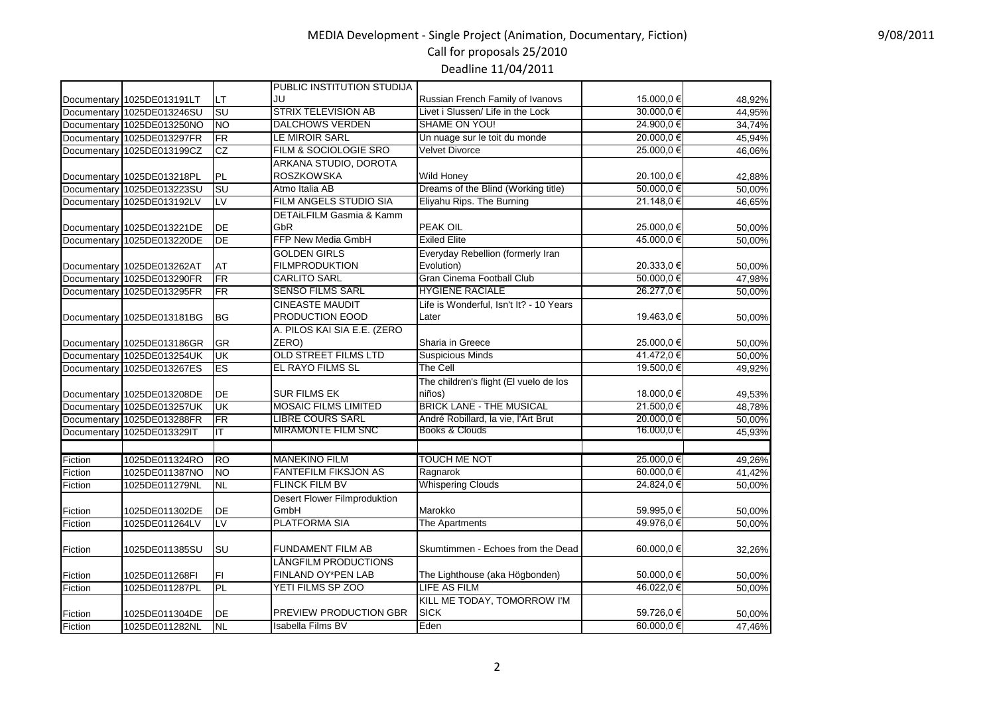### MEDIA Development - Single Project (Animation, Documentary, Fiction) Call for proposals 25/2010

Deadline 11/04/2011

|             |                            |                           | PUBLIC INSTITUTION STUDIJA          |                                         |              |        |
|-------------|----------------------------|---------------------------|-------------------------------------|-----------------------------------------|--------------|--------|
|             | Documentary 1025DE013191LT | LT                        | JU                                  | Russian French Family of Ivanovs        | 15.000,0 €   | 48,92% |
|             | Documentary 1025DE013246SU | <b>SU</b>                 | <b>STRIX TELEVISION AB</b>          | Livet i Slussen/ Life in the Lock       | $30.000,0$ € | 44,95% |
|             | Documentary 1025DE013250NO | <b>NO</b>                 | <b>DALCHOWS VERDEN</b>              | SHAME ON YOU!                           | 24.900,0€    | 34,74% |
|             | Documentary 1025DE013297FR | FR                        | LE MIROIR SARL                      | Un nuage sur le toit du monde           | 20.000,0€    | 45,94% |
| Documentary | 1025DE013199CZ             | CZ                        | FILM & SOCIOLOGIE SRO               | <b>Velvet Divorce</b>                   | 25.000,0€    | 46,06% |
|             |                            |                           | ARKANA STUDIO, DOROTA               |                                         |              |        |
|             | Documentary 1025DE013218PL | PL                        | ROSZKOWSKA                          | <b>Wild Honey</b>                       | 20.100,0 €   | 42,88% |
| Documentary | 1025DE013223SU             | <b>SU</b>                 | Atmo Italia AB                      | Dreams of the Blind (Working title)     | 50.000,0€    | 50,00% |
| Documentary | 1025DE013192LV             | LV                        | FILM ANGELS STUDIO SIA              | Eliyahu Rips. The Burning               | 21.148,0€    | 46,65% |
|             |                            |                           | DETAILFILM Gasmia & Kamm            |                                         |              |        |
|             | Documentary 1025DE013221DE | DE                        | GbR                                 | PEAK OIL                                | 25.000,0 €   | 50,00% |
| Documentary | 1025DE013220DE             | <b>DE</b>                 | FFP New Media GmbH                  | <b>Exiled Elite</b>                     | 45.000.0 €   | 50.00% |
|             |                            |                           | <b>GOLDEN GIRLS</b>                 | Everyday Rebellion (formerly Iran       |              |        |
|             | Documentary 1025DE013262AT | <b>AT</b>                 | <b>FILMPRODUKTION</b>               | Evolution)                              | 20.333,0 €   | 50,00% |
|             | Documentary 1025DE013290FR | FR                        | <b>CARLITO SARL</b>                 | Gran Cinema Football Club               | 50.000,0€    | 47,98% |
| Documentary | 1025DE013295FR             | FR                        | <b>SENSO FILMS SARL</b>             | <b>HYGIENE RACIALE</b>                  | 26.277,0€    | 50,00% |
|             |                            |                           | <b>CINEASTE MAUDIT</b>              | Life is Wonderful, Isn't It? - 10 Years |              |        |
|             | Documentary 1025DE013181BG | <b>BG</b>                 | PRODUCTION EOOD                     | Later                                   | 19.463,0 €   | 50,00% |
|             |                            |                           | A. PILOS KAI SIA E.E. (ZERO         |                                         |              |        |
|             | Documentary 1025DE013186GR | GR                        | ZERO)                               | Sharia in Greece                        | 25.000,0 €   | 50,00% |
|             | Documentary 1025DE013254UK | $\overline{\mathsf{U}}$ K | <b>OLD STREET FILMS LTD</b>         | <b>Suspicious Minds</b>                 | 41.472,0€    | 50,00% |
|             | Documentary 1025DE013267ES | ES                        | EL RAYO FILMS SL                    | <b>The Cell</b>                         | 19.500,0€    | 49,92% |
|             |                            |                           |                                     | The children's flight (El vuelo de los  |              |        |
|             | Documentary 1025DE013208DE | DE                        | <b>SUR FILMS EK</b>                 | niños)                                  | 18.000,0 €   | 49,53% |
|             | Documentary 1025DE013257UK | UK                        | <b>MOSAIC FILMS LIMITED</b>         | <b>BRICK LANE - THE MUSICAL</b>         | 21.500,0€    | 48,78% |
|             | Documentary 1025DE013288FR | FR                        | <b>LIBRE COURS SARL</b>             | André Robillard, la vie, l'Art Brut     | 20.000,0€    | 50,00% |
|             | Documentary 1025DE013329IT | IT                        | <b>MIRAMONTE FILM SNC</b>           | Books & Clouds                          | 16.000,0 €   | 45,93% |
|             |                            |                           |                                     |                                         |              |        |
| Fiction     | 1025DE011324RO             | <b>RO</b>                 | <b>MANEKINO FILM</b>                | <b>TOUCH ME NOT</b>                     | 25.000,0 €   | 49,26% |
| Fiction     | 1025DE011387NO             | <b>NO</b>                 | <b>FANTEFILM FIKSJON AS</b>         | Ragnarok                                | 60.000,0 €   | 41,42% |
| Fiction     | 1025DE011279NL             | <b>NL</b>                 | <b>FLINCK FILM BV</b>               | <b>Whispering Clouds</b>                | 24.824,0€    | 50.00% |
|             |                            |                           | <b>Desert Flower Filmproduktion</b> |                                         |              |        |
| Fiction     | 1025DE011302DE             | DE                        | GmbH                                | Marokko                                 | 59.995,0€    | 50,00% |
| Fiction     | 1025DE011264LV             | LV                        | <b>PLATFORMA SIA</b>                | The Apartments                          | 49.976.0€    | 50,00% |
|             |                            |                           |                                     |                                         |              |        |
| Fiction     | 1025DE011385SU             | ls∪                       | <b>FUNDAMENT FILM AB</b>            | Skumtimmen - Echoes from the Dead       | 60.000,0€    | 32,26% |
|             |                            |                           | LÁNGFILM PRODUCTIONS                |                                         |              |        |
| Fiction     | 1025DE011268FI             | FI                        | FINLAND OY*PEN LAB                  | The Lighthouse (aka Högbonden)          | 50.000,0 €   | 50,00% |
| Fiction     | 1025DE011287PL             | PL                        | YETI FILMS SP ZOO                   | <b>LIFE AS FILM</b>                     | 46.022,0€    | 50.00% |
|             |                            |                           |                                     | KILL ME TODAY, TOMORROW I'M             |              |        |
| Fiction     | 1025DE011304DE             | IDE                       | PREVIEW PRODUCTION GBR              | <b>SICK</b>                             | 59.726,0 €   | 50,00% |
| Fiction     | 1025DE011282NL             | N <sub>L</sub>            | <b>Isabella Films BV</b>            | Eden                                    | 60.000,0 €   | 47,46% |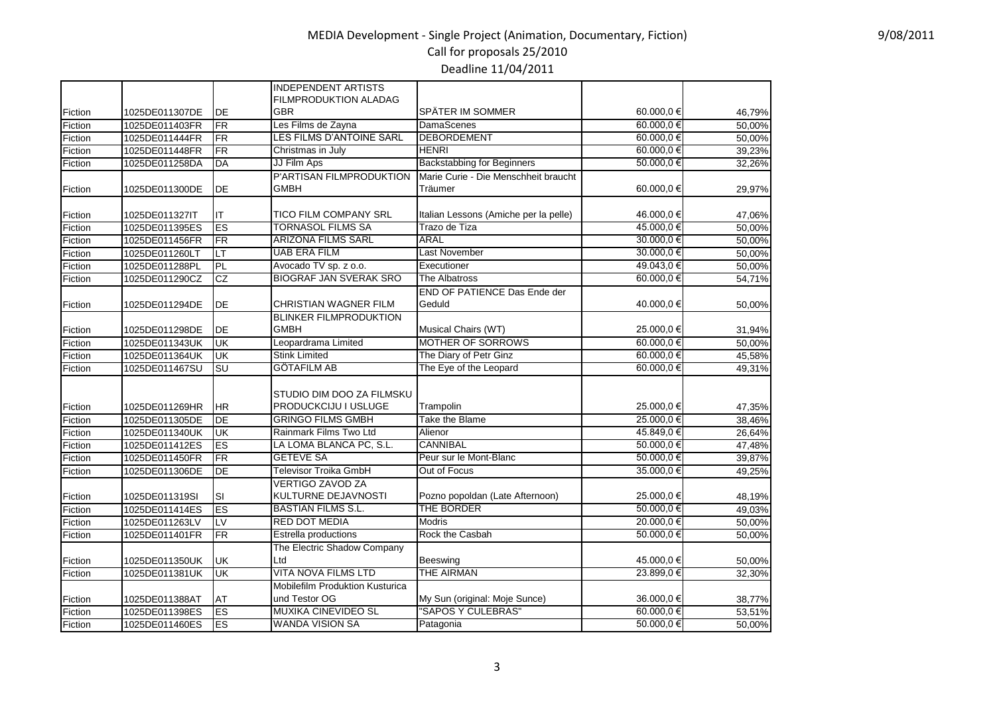### MEDIA Development - Single Project (Animation, Documentary, Fiction) Call for proposals 25/2010 Deadline 11/04/2011

|         |                |                           | <b>INDEPENDENT ARTISTS</b>             |                                       |            |        |
|---------|----------------|---------------------------|----------------------------------------|---------------------------------------|------------|--------|
|         |                |                           | <b>FILMPRODUKTION ALADAG</b>           |                                       |            |        |
| Fiction | 1025DE011307DE | DE                        | GBR                                    | SPÄTER IM SOMMER                      | 60.000,0€  | 46,79% |
| Fiction | 1025DE011403FR | <b>FR</b>                 | Les Films de Zayna                     | DamaScenes                            | 60.000.0€  | 50,00% |
| Fiction | 1025DE011444FR | <b>FR</b>                 | LES FILMS D'ANTOINE SARL               | <b>DEBORDEMENT</b>                    | 60.000.0€  | 50,00% |
| Fiction | 1025DE011448FR | <b>FR</b>                 | Christmas in July                      | <b>HENRI</b>                          | 60.000,0 € | 39,23% |
| Fiction | 1025DE011258DA | DA                        | JJ Film Aps                            | <b>Backstabbing for Beginners</b>     | 50.000,0€  | 32,26% |
|         |                |                           | P'ARTISAN FILMPRODUKTION               | Marie Curie - Die Menschheit braucht  |            |        |
| Fiction | 1025DE011300DE | DE                        | <b>GMBH</b>                            | Träumer                               | 60.000,0€  | 29,97% |
| Fiction | 1025DE011327IT | ΙT                        | <b>TICO FILM COMPANY SRL</b>           | Italian Lessons (Amiche per la pelle) | 46.000,0 € | 47,06% |
| Fiction | 1025DE011395ES | <b>ES</b>                 | <b>TORNASOL FILMS SA</b>               | Trazo de Tiza                         | 45.000,0 € | 50,00% |
| Fiction | 1025DE011456FR | FR                        | <b>ARIZONA FILMS SARL</b>              | ARAL                                  | 30.000,0 € | 50,00% |
| Fiction | 1025DE011260LT | LT                        | <b>UAB ERA FILM</b>                    | <b>Last November</b>                  | 30.000,0€  | 50,00% |
| Fiction | 1025DE011288PL | PL                        | Avocado TV sp. z o.o.                  | Executioner                           | 49.043,0€  | 50,00% |
| Fiction | 1025DE011290CZ | CZ                        | <b>BIOGRAF JAN SVERAK SRO</b>          | The Albatross                         | 60.000,0€  | 54,71% |
|         |                |                           |                                        | END OF PATIENCE Das Ende der          |            |        |
| Fiction | 1025DE011294DE | DE                        | CHRISTIAN WAGNER FILM                  | Geduld                                | 40.000,0 € | 50,00% |
|         |                |                           | <b>BLINKER FILMPRODUKTION</b>          |                                       |            |        |
| Fiction | 1025DE011298DE | DE                        | <b>GMBH</b>                            | Musical Chairs (WT)                   | 25.000,0 € | 31,94% |
| Fiction | 1025DE011343UK | luк                       | Leopardrama Limited                    | <b>MOTHER OF SORROWS</b>              | 60.000.0 € | 50,00% |
| Fiction | 1025DE011364UK | <b>UK</b>                 | <b>Stink Limited</b>                   | The Diary of Petr Ginz                | 60.000,0€  | 45,58% |
| Fiction | 1025DE011467SU | SU                        | <b>GÖTAFILM AB</b>                     | The Eye of the Leopard                | 60.000,0€  | 49,31% |
|         |                |                           | STUDIO DIM DOO ZA FILMSKU              |                                       |            |        |
| Fiction | 1025DE011269HR | HR                        | <b>PRODUCKCIJU I USLUGE</b>            | Trampolin                             | 25.000,0 € | 47,35% |
| Fiction | 1025DE011305DE | DE                        | <b>GRINGO FILMS GMBH</b>               | Take the Blame                        | 25.000,0 € | 38,46% |
| Fiction | 1025DE011340UK | R                         | Rainmark Films Two Ltd                 | Alienor                               | 45.849,0 € | 26,64% |
| Fiction | 1025DE011412ES | ES                        | LA LOMA BLANCA PC, S.L.                | <b>CANNIBAL</b>                       | 50.000,0 € | 47,48% |
| Fiction | 1025DE011450FR | <b>FR</b>                 | <b>GETEVE SA</b>                       | Peur sur le Mont-Blanc                | 50.000,0€  | 39,87% |
| Fiction | 1025DE011306DE | DE                        | <b>Televisor Troika GmbH</b>           | Out of Focus                          | 35.000,0 € | 49,25% |
|         |                |                           | <b>VERTIGO ZAVOD ZA</b>                |                                       |            |        |
| Fiction | 1025DE011319SI | SI                        | KULTURNE DEJAVNOSTI                    | Pozno popoldan (Late Afternoon)       | 25.000,0€  | 48,19% |
| Fiction | 1025DE011414ES | ES                        | <b>BASTIAN FILMS S.L.</b>              | THE BORDER                            | 50.000,0€  | 49,03% |
| Fiction | 1025DE011263LV | LV                        | <b>RED DOT MEDIA</b>                   | <b>Modris</b>                         | 20.000,0€  | 50,00% |
| Fiction | 1025DE011401FR | FR                        | Estrella productions                   | Rock the Casbah                       | 50.000,0€  | 50,00% |
|         |                |                           | The Electric Shadow Company            |                                       |            |        |
| Fiction | 1025DE011350UK | UK                        | Ltd                                    | Beeswing                              | 45.000,0 € | 50,00% |
| Fiction | 1025DE011381UK | $\overline{\mathsf{U}}$ K | <b>VITA NOVA FILMS LTD</b>             | <b>THE AIRMAN</b>                     | 23.899,0€  | 32,30% |
|         |                |                           | <b>Mobilefilm Produktion Kusturica</b> |                                       |            |        |
| Fiction | 1025DE011388AT | AT                        | und Testor OG                          | My Sun (original: Moje Sunce)         | 36.000,0€  | 38,77% |
| Fiction | 1025DE011398ES | <b>ES</b>                 | <b>MUXIKA CINEVIDEO SL</b>             | "SAPOS Y CULEBRAS"                    | 60.000,0€  | 53,51% |
| Fiction | 1025DE011460ES | ES                        | <b>WANDA VISION SA</b>                 | Patagonia                             | 50.000.0 € | 50,00% |